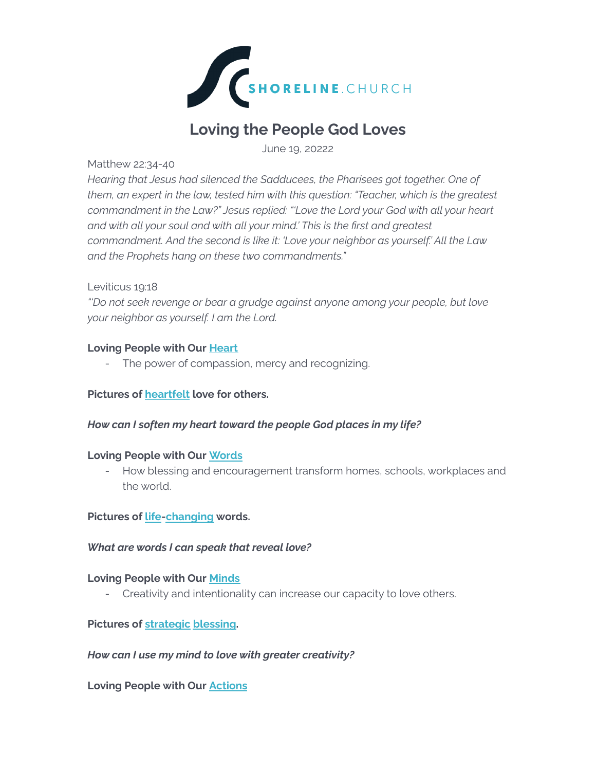

# **Loving the People God Loves**

June 19, 20222

### Matthew 22:34-40

*Hearing that Jesus had silenced the Sadducees, the Pharisees got together. One of them, an expert in the law, tested him with this question: "Teacher, which is the greatest commandment in the Law?" Jesus replied: "'Love the Lord your God with all your heart and with all your soul and with all your mind.' This is the first and greatest commandment. And the second is like it: 'Love your neighbor as yourself.' All the Law and the Prophets hang on these two commandments."*

# Leviticus 19:18

*"'Do not seek revenge or bear a grudge against anyone among your people, but love your neighbor as yourself. I am the Lord.*

# **Loving People with Our Heart**

- The power of compassion, mercy and recognizing.

# **Pictures of heartfelt love for others.**

# *How can I soften my heart toward the people God places in my life?*

#### **Loving People with Our Words**

- How blessing and encouragement transform homes, schools, workplaces and the world.

**Pictures of life-changing words.**

#### *What are words I can speak that reveal love?*

# **Loving People with Our Minds**

- Creativity and intentionality can increase our capacity to love others.

# **Pictures of strategic blessing.**

#### *How can I use my mind to love with greater creativity?*

**Loving People with Our Actions**